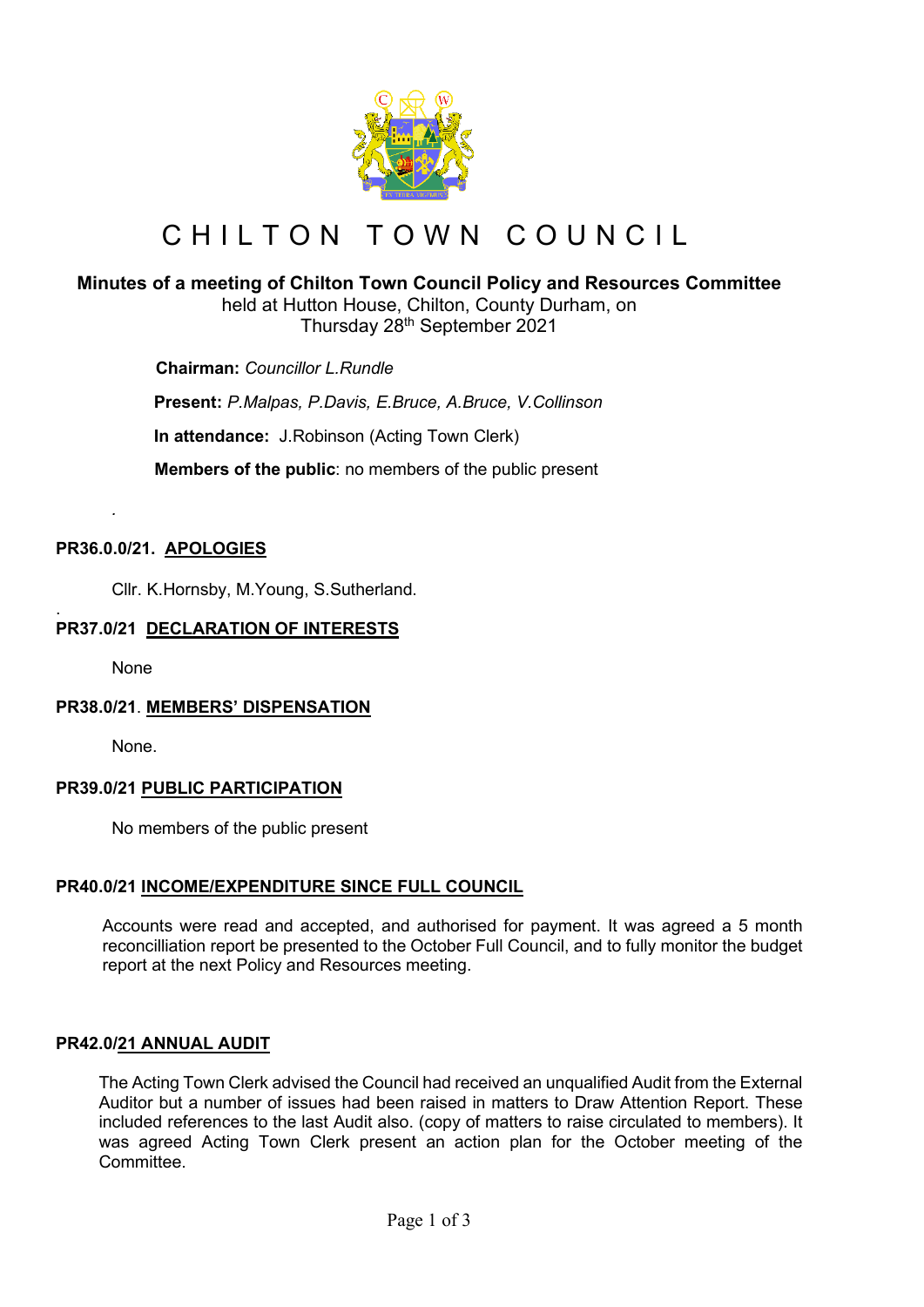

# CHILTON TOWN COUNCIL

## **Minutes of a meeting of Chilton Town Council Policy and Resources Committee**

held at Hutton House, Chilton, County Durham, on Thursday 28th September 2021

 **Chairman:** *Councillor L.Rundle*

**Present:** *P.Malpas, P.Davis, E.Bruce, A.Bruce, V.Collinson*

**In attendance:** J.Robinson (Acting Town Clerk)

 **Members of the public**: no members of the public present

## **PR36.0.0/21. APOLOGIES**

Cllr. K.Hornsby, M.Young, S.Sutherland.

#### . **PR37.0/21 DECLARATION OF INTERESTS**

None

*.*

#### **PR38.0/21**. **MEMBERS' DISPENSATION**

None.

#### **PR39.0/21 PUBLIC PARTICIPATION**

No members of the public present

#### **PR40.0/21 INCOME/EXPENDITURE SINCE FULL COUNCIL**

Accounts were read and accepted, and authorised for payment. It was agreed a 5 month reconcilliation report be presented to the October Full Council, and to fully monitor the budget report at the next Policy and Resources meeting.

#### **PR42.0/21 ANNUAL AUDIT**

The Acting Town Clerk advised the Council had received an unqualified Audit from the External Auditor but a number of issues had been raised in matters to Draw Attention Report. These included references to the last Audit also. (copy of matters to raise circulated to members). It was agreed Acting Town Clerk present an action plan for the October meeting of the **Committee.**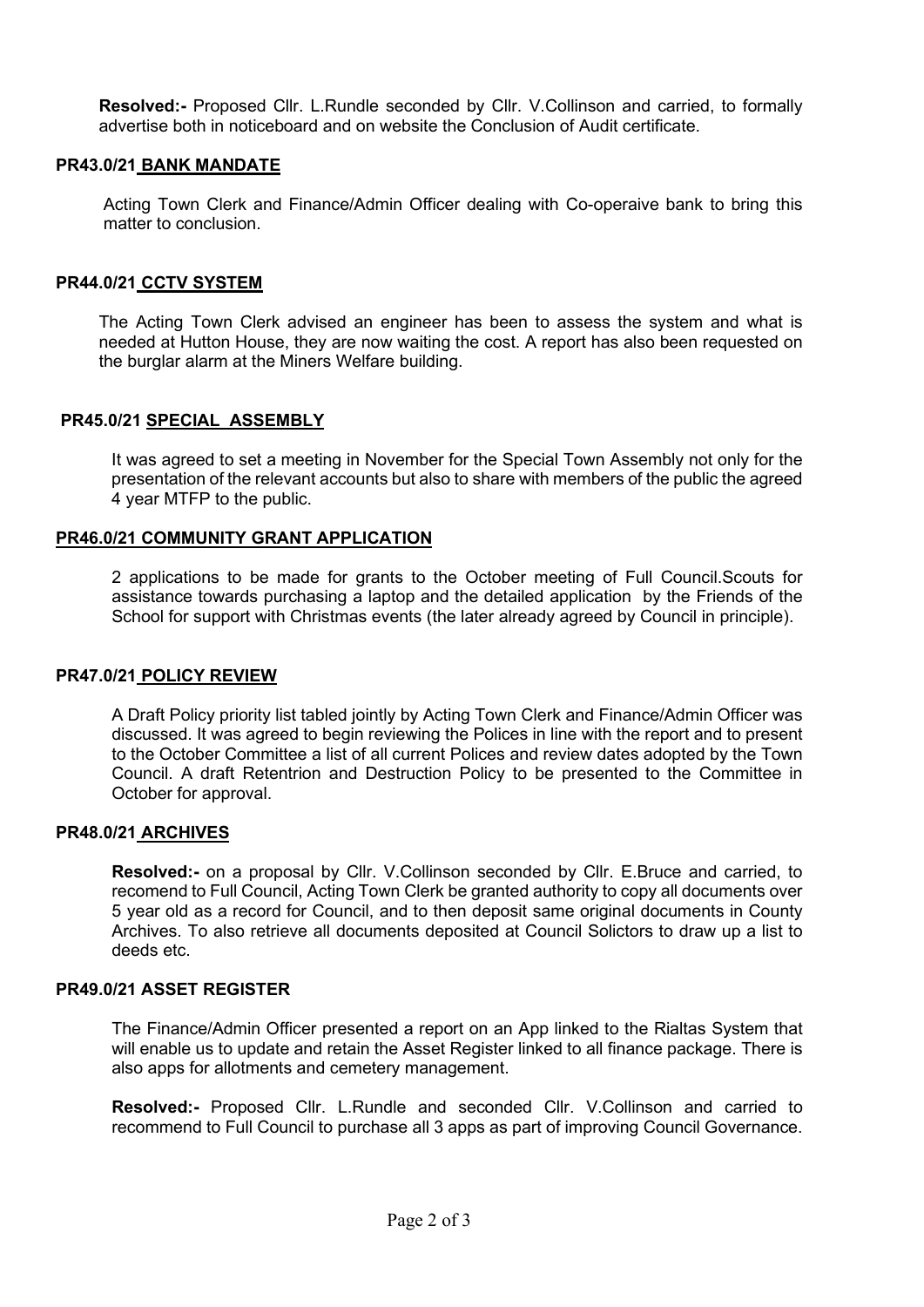**Resolved:-** Proposed Cllr. L.Rundle seconded by Cllr. V.Collinson and carried, to formally advertise both in noticeboard and on website the Conclusion of Audit certificate.

#### **PR43.0/21 BANK MANDATE**

Acting Town Clerk and Finance/Admin Officer dealing with Co-operaive bank to bring this matter to conclusion.

#### **PR44.0/21 CCTV SYSTEM**

The Acting Town Clerk advised an engineer has been to assess the system and what is needed at Hutton House, they are now waiting the cost. A report has also been requested on the burglar alarm at the Miners Welfare building.

#### **PR45.0/21 SPECIAL ASSEMBLY**

It was agreed to set a meeting in November for the Special Town Assembly not only for the presentation of the relevant accounts but also to share with members of the public the agreed 4 year MTFP to the public.

#### **PR46.0/21 COMMUNITY GRANT APPLICATION**

2 applications to be made for grants to the October meeting of Full Council.Scouts for assistance towards purchasing a laptop and the detailed application by the Friends of the School for support with Christmas events (the later already agreed by Council in principle).

#### **PR47.0/21 POLICY REVIEW**

A Draft Policy priority list tabled jointly by Acting Town Clerk and Finance/Admin Officer was discussed. It was agreed to begin reviewing the Polices in line with the report and to present to the October Committee a list of all current Polices and review dates adopted by the Town Council. A draft Retentrion and Destruction Policy to be presented to the Committee in October for approval.

#### **PR48.0/21 ARCHIVES**

**Resolved:-** on a proposal by Cllr. V.Collinson seconded by Cllr. E.Bruce and carried, to recomend to Full Council, Acting Town Clerk be granted authority to copy all documents over 5 year old as a record for Council, and to then deposit same original documents in County Archives. To also retrieve all documents deposited at Council Solictors to draw up a list to deeds etc.

#### **PR49.0/21 ASSET REGISTER**

The Finance/Admin Officer presented a report on an App linked to the Rialtas System that will enable us to update and retain the Asset Register linked to all finance package. There is also apps for allotments and cemetery management.

**Resolved:-** Proposed Cllr. L.Rundle and seconded Cllr. V.Collinson and carried to recommend to Full Council to purchase all 3 apps as part of improving Council Governance.